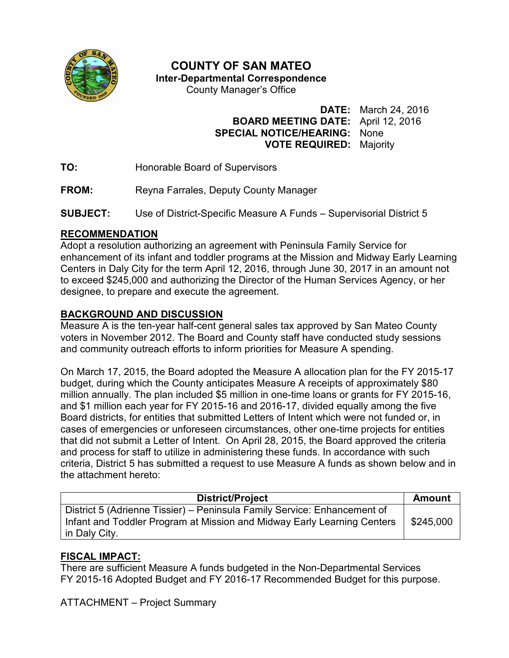

# **COUNTY OF SAN MATEO**

**Inter-Departmental Correspondence** 

County Manager's Office

#### **DATE:** March 24, 2016 **BOARD MEETING DATE:** April 12, 2016 **SPECIAL NOTICE/HEARING:** None **VOTE REQUIRED:** Majority

- **TO:** Honorable Board of Supervisors
- **FROM:** Reyna Farrales, Deputy County Manager
- **SUBJECT:** Use of District-Specific Measure A Funds Supervisorial District 5

#### **RECOMMENDATION**

Adopt a resolution authorizing an agreement with Peninsula Family Service for enhancement of its infant and toddler programs at the Mission and Midway Early Learning Centers in Daly City for the term April 12, 2016, through June 30, 2017 in an amount not to exceed \$245,000 and authorizing the Director of the Human Services Agency, or her designee, to prepare and execute the agreement.

## **BACKGROUND AND DISCUSSION**

Measure A is the ten-year half-cent general sales tax approved by San Mateo County voters in November 2012. The Board and County staff have conducted study sessions and community outreach efforts to inform priorities for Measure A spending.

On March 17, 2015, the Board adopted the Measure A allocation plan for the FY 2015-17 budget, during which the County anticipates Measure A receipts of approximately \$80 million annually. The plan included \$5 million in one-time loans or grants for FY 2015-16, and \$1 million each year for FY 2015-16 and 2016-17, divided equally among the five Board districts, for entities that submitted Letters of Intent which were not funded or, in cases of emergencies or unforeseen circumstances, other one-time projects for entities that did not submit a Letter of Intent. On April 28, 2015, the Board approved the criteria and process for staff to utilize in administering these funds. In accordance with such criteria, District 5 has submitted a request to use Measure A funds as shown below and in the attachment hereto:

| <b>District/Project</b>                                                                                                                                              | <b>Amount</b> |
|----------------------------------------------------------------------------------------------------------------------------------------------------------------------|---------------|
| District 5 (Adrienne Tissier) – Peninsula Family Service: Enhancement of<br>Infant and Toddler Program at Mission and Midway Early Learning Centers<br>in Daly City. | \$245,000     |

## **FISCAL IMPACT:**

There are sufficient Measure A funds budgeted in the Non-Departmental Services FY 2015-16 Adopted Budget and FY 2016-17 Recommended Budget for this purpose.

ATTACHMENT – Project Summary